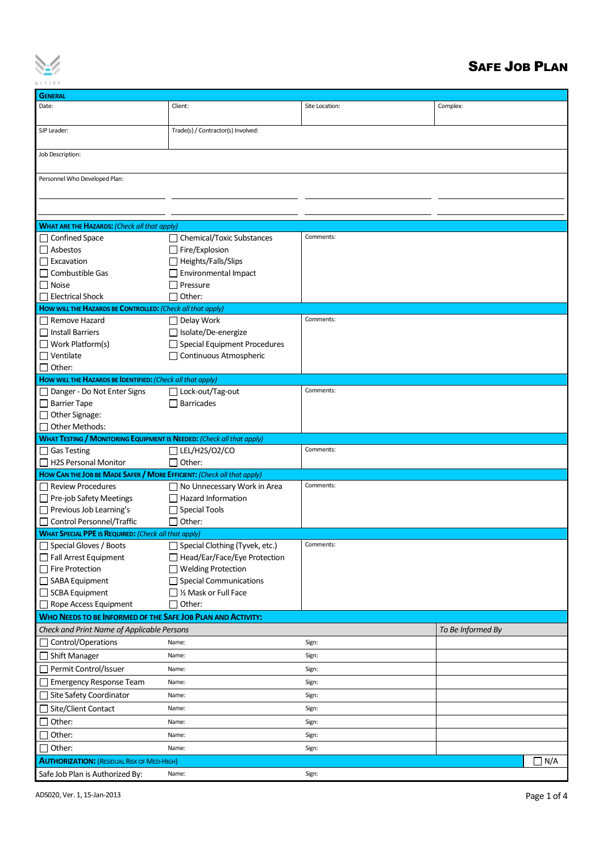

## SAFE JOB PLAN

| <b>GENERAL</b>                                                                               |                                                                |                |                   |            |  |  |  |  |
|----------------------------------------------------------------------------------------------|----------------------------------------------------------------|----------------|-------------------|------------|--|--|--|--|
| Date:                                                                                        | Client:                                                        | Site Location: | Complex:          |            |  |  |  |  |
| SJP Leader:                                                                                  | Trade(s) / Contractor(s) Involved:                             |                |                   |            |  |  |  |  |
| Job Description:                                                                             |                                                                |                |                   |            |  |  |  |  |
| Personnel Who Developed Plan:                                                                |                                                                |                |                   |            |  |  |  |  |
|                                                                                              |                                                                |                |                   |            |  |  |  |  |
|                                                                                              |                                                                |                |                   |            |  |  |  |  |
| <b>WHAT ARE THE HAZARDS: (Check all that apply)</b>                                          |                                                                |                |                   |            |  |  |  |  |
| <b>Confined Space</b>                                                                        | <b>Chemical/Toxic Substances</b>                               | Comments:      |                   |            |  |  |  |  |
| $\Box$ Asbestos                                                                              | Fire/Explosion                                                 |                |                   |            |  |  |  |  |
| $\Box$ Excavation                                                                            | □ Heights/Falls/Slips                                          |                |                   |            |  |  |  |  |
| $\Box$ Combustible Gas                                                                       | Environmental Impact                                           |                |                   |            |  |  |  |  |
| $\Box$ Noise                                                                                 | Pressure                                                       |                |                   |            |  |  |  |  |
| $\Box$ Electrical Shock                                                                      | Other:                                                         |                |                   |            |  |  |  |  |
| HOW WILL THE HAZARDS BE CONTROLLED: (Check all that apply)                                   |                                                                |                |                   |            |  |  |  |  |
| Remove Hazard                                                                                | $\Box$ Delay Work                                              | Comments:      |                   |            |  |  |  |  |
| Install Barriers                                                                             | Isolate/De-energize                                            |                |                   |            |  |  |  |  |
| $\Box$ Work Platform(s)                                                                      | Special Equipment Procedures                                   |                |                   |            |  |  |  |  |
| $\Box$ Ventilate<br>$\Box$ Other:                                                            | Continuous Atmospheric                                         |                |                   |            |  |  |  |  |
| How will THE HAZARDS BE IDENTIFIED: (Check all that apply)                                   |                                                                |                |                   |            |  |  |  |  |
| □ Danger - Do Not Enter Signs                                                                | □ Lock-out/Tag-out                                             | Comments:      |                   |            |  |  |  |  |
| $\Box$ Barrier Tape                                                                          | $\Box$ Barricades                                              |                |                   |            |  |  |  |  |
| $\Box$ Other Signage:                                                                        |                                                                |                |                   |            |  |  |  |  |
| $\Box$ Other Methods:                                                                        |                                                                |                |                   |            |  |  |  |  |
| <b>WHAT TESTING / MONITORING EQUIPMENT IS NEEDED:</b> (Check all that apply)                 |                                                                |                |                   |            |  |  |  |  |
| $\Box$ Gas Testing                                                                           | LEL/H2S/O2/CO                                                  | Comments:      |                   |            |  |  |  |  |
| H2S Personal Monitor                                                                         | Other:                                                         |                |                   |            |  |  |  |  |
| HOW CAN THE JOB BE MADE SAFER / MORE EFFICIENT: (Check all that apply)                       |                                                                |                |                   |            |  |  |  |  |
| □ Review Procedures                                                                          | $\Box$ No Unnecessary Work in Area                             | Comments:      |                   |            |  |  |  |  |
| □ Pre-job Safety Meetings                                                                    | $\Box$ Hazard Information                                      |                |                   |            |  |  |  |  |
| $\Box$ Previous Job Learning's                                                               | <b>Special Tools</b>                                           |                |                   |            |  |  |  |  |
| Control Personnel/Traffic                                                                    | Other:                                                         |                |                   |            |  |  |  |  |
| <b>WHAT SPECIAL PPE IS REQUIRED: (Check all that apply)</b><br>$\Box$ Special Gloves / Boots |                                                                | Comments:      |                   |            |  |  |  |  |
| Fall Arrest Equipment                                                                        | Special Clothing (Tyvek, etc.)<br>Head/Ear/Face/Eye Protection |                |                   |            |  |  |  |  |
| $\Box$ Fire Protection                                                                       | Welding Protection                                             |                |                   |            |  |  |  |  |
| $\Box$ SABA Equipment                                                                        | $\Box$ Special Communications                                  |                |                   |            |  |  |  |  |
| SCBA Equipment                                                                               | $\Box$ ½ Mask or Full Face                                     |                |                   |            |  |  |  |  |
| $\Box$ Rope Access Equipment                                                                 | $\Box$ Other:                                                  |                |                   |            |  |  |  |  |
| WHO NEEDS TO BE INFORMED OF THE SAFE JOB PLAN AND ACTIVITY:                                  |                                                                |                |                   |            |  |  |  |  |
| Check and Print Name of Applicable Persons                                                   |                                                                |                | To Be Informed By |            |  |  |  |  |
| Control/Operations                                                                           | Name:                                                          | Sign:          |                   |            |  |  |  |  |
| □ Shift Manager                                                                              | Name:                                                          | Sign:          |                   |            |  |  |  |  |
| Permit Control/Issuer                                                                        | Name:                                                          | Sign:          |                   |            |  |  |  |  |
| <b>Emergency Response Team</b>                                                               | Name:                                                          | Sign:          |                   |            |  |  |  |  |
| □ Site Safety Coordinator                                                                    | Name:                                                          | Sign:          |                   |            |  |  |  |  |
| □ Site/Client Contact                                                                        | Name:                                                          | Sign:          |                   |            |  |  |  |  |
| Other:                                                                                       | Name:                                                          | Sign:          |                   |            |  |  |  |  |
| Other:                                                                                       | Name:                                                          | Sign:          |                   |            |  |  |  |  |
| Other:                                                                                       | Name:                                                          | Sign:          |                   |            |  |  |  |  |
| <b>AUTHORIZATION: (RESIDUAL RISK OF MED-HIGH)</b>                                            |                                                                |                |                   | $\Box$ N/A |  |  |  |  |
| Safe Job Plan is Authorized By:                                                              | Name:                                                          | Sign:          |                   |            |  |  |  |  |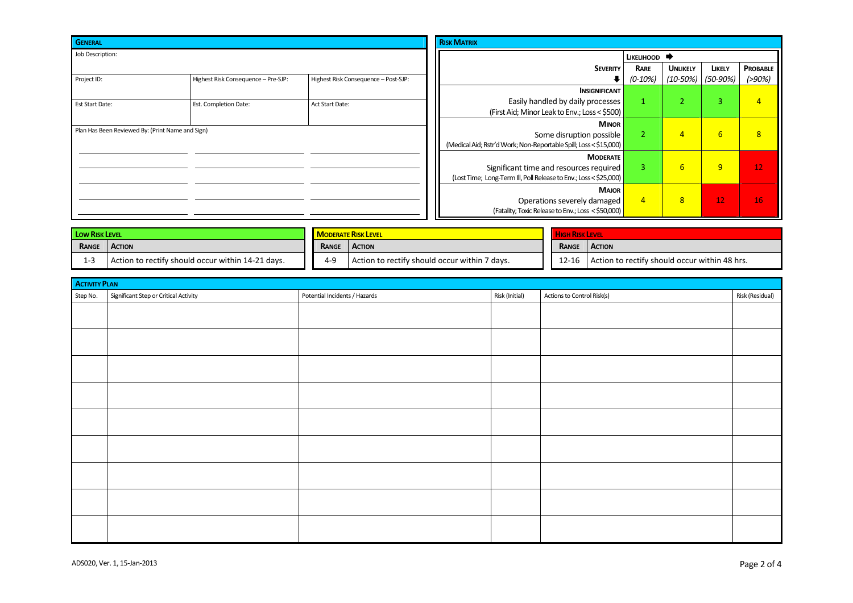| <b>GENERAL</b>                                   |                                     |                                      | <b>RISK MATRIX</b>                                                |                |                 |                  |                |
|--------------------------------------------------|-------------------------------------|--------------------------------------|-------------------------------------------------------------------|----------------|-----------------|------------------|----------------|
| Job Description:                                 |                                     |                                      | LIKELIHOOD                                                        |                |                 |                  |                |
|                                                  |                                     |                                      | <b>SEVERITY</b>                                                   | RARE           | <b>UNLIKELY</b> | LIKELY           | PROBABLE       |
| Project ID:                                      | Highest Risk Consequence - Pre-SJP: | Highest Risk Consequence - Post-SJP: | ∙                                                                 | $(0-10%)$      | (10-50%)        | $(50-90%)$       | $( > 90\%)$    |
|                                                  |                                     |                                      | <b>INSIGNIFICANT</b>                                              |                |                 |                  |                |
| <b>Est Start Date:</b>                           | Est. Completion Date:               | Act Start Date:                      | Easily handled by daily processes                                 | 1              | $\sim$<br>∠     | $\sim$<br>್      | $\overline{4}$ |
|                                                  |                                     |                                      | (First Aid; Minor Leak to Env.; Loss < \$500)                     |                |                 |                  |                |
|                                                  |                                     |                                      | <b>MINOR</b>                                                      |                |                 |                  |                |
| Plan Has Been Reviewed By: (Print Name and Sign) |                                     |                                      | Some disruption possible                                          | 2              | $\overline{4}$  | $6 \overline{6}$ | 8              |
|                                                  |                                     |                                      | (Medical Aid; Rstr'd Work; Non-Reportable Spill; Loss < \$15,000) |                |                 |                  |                |
|                                                  |                                     |                                      | <b>MODERATE</b>                                                   |                |                 |                  |                |
|                                                  |                                     |                                      | Significant time and resources required                           | 3              | 6               | 9                | 12             |
|                                                  |                                     |                                      | (Lost Time; Long-Term III, Poll Release to Env.; Loss < \$25,000) |                |                 |                  |                |
|                                                  |                                     |                                      | <b>MAJOR</b>                                                      |                |                 |                  |                |
|                                                  |                                     |                                      | Operations severely damaged                                       | $\overline{4}$ | 8 <sup>2</sup>  | 12               | 16             |
|                                                  |                                     |                                      | (Fatality; Toxic Release to Env.; Loss < \$50,000)                |                |                 |                  |                |

| <b>LOW RISK LEVEL</b>  |                                                   | <b>IN ODERATE RISK LEVEL</b> |                                               |  |           |                                               |  |
|------------------------|---------------------------------------------------|------------------------------|-----------------------------------------------|--|-----------|-----------------------------------------------|--|
| RANGE<br><b>ACTION</b> |                                                   | RANGE                        | <b>ACTION</b>                                 |  | RANGE     | <b>ACTION</b>                                 |  |
| 1-3                    | Action to rectify should occur within 14-21 days. | $4 - 9$                      | Action to rectify should occur within 7 days. |  | $12 - 16$ | Action to rectify should occur within 48 hrs. |  |

| <b>ACTIVITY PLAN</b> |                                       |                               |                |                            |                 |  |  |  |
|----------------------|---------------------------------------|-------------------------------|----------------|----------------------------|-----------------|--|--|--|
| Step No.             | Significant Step or Critical Activity | Potential Incidents / Hazards | Risk (Initial) | Actions to Control Risk(s) | Risk (Residual) |  |  |  |
|                      |                                       |                               |                |                            |                 |  |  |  |
|                      |                                       |                               |                |                            |                 |  |  |  |
|                      |                                       |                               |                |                            |                 |  |  |  |
|                      |                                       |                               |                |                            |                 |  |  |  |
|                      |                                       |                               |                |                            |                 |  |  |  |
|                      |                                       |                               |                |                            |                 |  |  |  |
|                      |                                       |                               |                |                            |                 |  |  |  |
|                      |                                       |                               |                |                            |                 |  |  |  |
|                      |                                       |                               |                |                            |                 |  |  |  |
|                      |                                       |                               |                |                            |                 |  |  |  |
|                      |                                       |                               |                |                            |                 |  |  |  |
|                      |                                       |                               |                |                            |                 |  |  |  |
|                      |                                       |                               |                |                            |                 |  |  |  |
|                      |                                       |                               |                |                            |                 |  |  |  |
|                      |                                       |                               |                |                            |                 |  |  |  |
|                      |                                       |                               |                |                            |                 |  |  |  |
|                      |                                       |                               |                |                            |                 |  |  |  |
|                      |                                       |                               |                |                            |                 |  |  |  |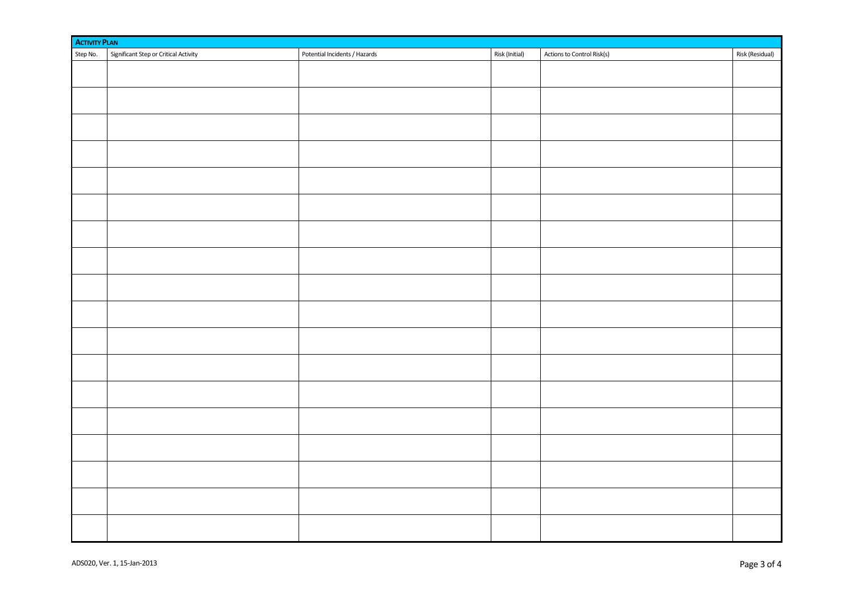|          | <b>ACTIVITY PLAN</b>                  |                               |                |                            |                 |  |  |  |  |
|----------|---------------------------------------|-------------------------------|----------------|----------------------------|-----------------|--|--|--|--|
| Step No. | Significant Step or Critical Activity | Potential Incidents / Hazards | Risk (Initial) | Actions to Control Risk(s) | Risk (Residual) |  |  |  |  |
|          |                                       |                               |                |                            |                 |  |  |  |  |
|          |                                       |                               |                |                            |                 |  |  |  |  |
|          |                                       |                               |                |                            |                 |  |  |  |  |
|          |                                       |                               |                |                            |                 |  |  |  |  |
|          |                                       |                               |                |                            |                 |  |  |  |  |
|          |                                       |                               |                |                            |                 |  |  |  |  |
|          |                                       |                               |                |                            |                 |  |  |  |  |
|          |                                       |                               |                |                            |                 |  |  |  |  |
|          |                                       |                               |                |                            |                 |  |  |  |  |
|          |                                       |                               |                |                            |                 |  |  |  |  |
|          |                                       |                               |                |                            |                 |  |  |  |  |
|          |                                       |                               |                |                            |                 |  |  |  |  |
|          |                                       |                               |                |                            |                 |  |  |  |  |
|          |                                       |                               |                |                            |                 |  |  |  |  |
|          |                                       |                               |                |                            |                 |  |  |  |  |
|          |                                       |                               |                |                            |                 |  |  |  |  |
|          |                                       |                               |                |                            |                 |  |  |  |  |
|          |                                       |                               |                |                            |                 |  |  |  |  |
|          |                                       |                               |                |                            |                 |  |  |  |  |
|          |                                       |                               |                |                            |                 |  |  |  |  |
|          |                                       |                               |                |                            |                 |  |  |  |  |
|          |                                       |                               |                |                            |                 |  |  |  |  |
|          |                                       |                               |                |                            |                 |  |  |  |  |
|          |                                       |                               |                |                            |                 |  |  |  |  |
|          |                                       |                               |                |                            |                 |  |  |  |  |
|          |                                       |                               |                |                            |                 |  |  |  |  |
|          |                                       |                               |                |                            |                 |  |  |  |  |
|          |                                       |                               |                |                            |                 |  |  |  |  |
|          |                                       |                               |                |                            |                 |  |  |  |  |
|          |                                       |                               |                |                            |                 |  |  |  |  |
|          |                                       |                               |                |                            |                 |  |  |  |  |
|          |                                       |                               |                |                            |                 |  |  |  |  |
|          |                                       |                               |                |                            |                 |  |  |  |  |
|          |                                       |                               |                |                            |                 |  |  |  |  |
|          |                                       |                               |                |                            |                 |  |  |  |  |
|          |                                       |                               |                |                            |                 |  |  |  |  |
|          |                                       |                               |                |                            |                 |  |  |  |  |
|          |                                       |                               |                |                            |                 |  |  |  |  |